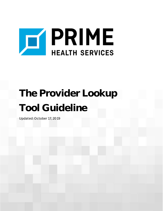

# **The Provider Lookup Tool Guideline**

Updated: October 17, 2019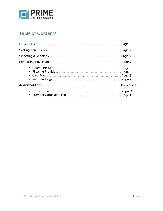

## Table of Contents

| ٠<br>٠ |  |
|--------|--|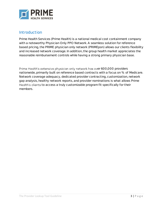

#### Introduction

Prime Health Services (Prime Health) is a national medical cost containment company with a noteworthy Physician Only PPO Network. A seamless solution for reference based pricing, the PRIME physician only network (PRIMEpon) allows our clients flexibility and increased network coverage. In addition, the group health market appreciates the reasonable reimbursement controls while having a strong primary physician base.

Prime Health's extensive physician only network has over 600,000 providers nationwide, primarily built on reference based contracts with a focus on % of Medicare. Network coverage adequacy, dedicated provider contracting, customization, network gap analysis, healthy network reports, and provider nominations is what allows Prime Health's clients to access a truly customizable program fit specifically for their members.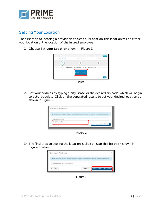

### Setting Your Location

The first step to locating a provider is to Set Your Location; this location will be either your location or the location of the injured employee.

1) Choose *Set your Location* shown in Figure 1.



*Figure 1*

2) Set your address by typing a city, state, or the desired zip code, which will begin to auto-populate. Click on the populated results to set your desired location as shown in Figure 2.

| Set Your Address                                                                                                                                                                  |                                                        |
|-----------------------------------------------------------------------------------------------------------------------------------------------------------------------------------|--------------------------------------------------------|
| O City and Shiric at De in required. but more address information.<br><b>The Commission Commission</b><br>the company of the company's state of the company's company's company's | فتحال المتعاط<br><b><i>CONTRACTORY AND INCOME.</i></b> |
| Jacksonville, FLI                                                                                                                                                                 |                                                        |
|                                                                                                                                                                                   |                                                        |
| Jacksonville ::                                                                                                                                                                   | powered by Goog                                        |

*Figure 2*

3) The final step to setting the location is click on *Use this location* shown in Figure 3 below.

| Set Your Address             |                                                                                                                                                                                                                        |                                        |
|------------------------------|------------------------------------------------------------------------------------------------------------------------------------------------------------------------------------------------------------------------|----------------------------------------|
|                              | O City and Sitele or Zip is required, but more eddition information will allow for more economy<br>an part of the control of the control of the control of the control of the control of the control of the control of | <b>CALIFORNIA DE L'ANGELES COMPANY</b> |
|                              |                                                                                                                                                                                                                        |                                        |
| Jacksonville, FL 32216, USA- |                                                                                                                                                                                                                        |                                        |

*Figure 3*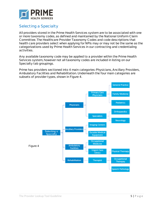

## Selecting a Specialty

All providers stored in the Prime Health Services system are to be associated with one or more taxonomy codes, as defined and maintained by the National Uniform Claim Committee. The Healthcare Provider Taxonomy Codes and code descriptions that health care providers select when applying for NPIs may or may not be the same as the categorizations used by Prime Health Services in our contracting and credentialing activities.

Any available taxonomy code may be applied to a provider within the Prime Health Services system, however not all taxonomy codes are included in listing on our Specialty tab groupings.

Prime has providers sectioned into 4 main categories: Physicians, Ancillary Providers, Ambulatory Facilities and Rehabilitation. Underneath the four main categories are subsets of provider types, shown in Figure 4.

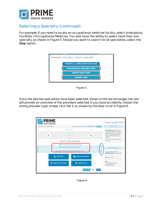

## Selecting a Specialty (continued)

For example: If you need to locate an occupational medicine facility, select Ambulatory Facilities > Occupational Medicine. You also have the ability to select more than one specialty as shown in Figure 5. Should you want to search for all specialties, select the *Skip* option.



*Figure 5*

Once the desired specialties have been selected, shown in the red rectangle, the site will provide an overview of the providers selected. If you have accidently chosen the wrong provider type, simply click the X as shown by the blue circle in Figure 6.



*Figure 6*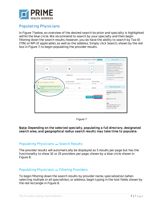

## Populating Physicians

In Figure 7 below, an overview of the desired search location and specialty is highlighted within the blue circle. We recommend to search by your specialty and then begin filtering down the search results; however, you do have the ability to search by Tax ID (TIN) or NPI (if applicable), as well as the address. Simply click *Search*, shown by the red box in Figure 7, to begin populating the provider results.

| Edit Search Parameters *                                   |                             | 9 Search Location: Fort Lauderdale, FL 33301   CHANGE | About PHS                                                                                                                                 |
|------------------------------------------------------------|-----------------------------|-------------------------------------------------------|-------------------------------------------------------------------------------------------------------------------------------------------|
| LOCATION                                                   | SPECIALTY                   | <b>SEARCH</b>                                         | <b>Prime Hoalth Services offers</b><br>you the most comprehensive<br>natwork of workers' comp                                             |
| $\mathsf Q$                                                | ŵ<br>Search                 | Q                                                     | providers nationwide. You will<br>find occess to medical<br>providers who have elected to<br>participate in our workers'<br>comp notwork. |
| <b>SEARCHING WITHIN:</b>                                   | Sourch By Namo              | <b>ADDITIONAL FILTERS:</b><br>Search Radius           | Click here for more information<br>or contact us.                                                                                         |
| Fort Lauderdale, Fl. 33301                                 | Provider Nome or Group Name | 20 miles<br>٠                                         |                                                                                                                                           |
| Ambulatory Facilities > Urgent Care<br>Clinic<br><b>SP</b> | Tox (D)<br>NPS              | <b>Address</b>                                        | PHS Contact Info                                                                                                                          |
| Ambulatory Facilities > Occupational<br>Medicine Clinic    |                             |                                                       | L Toll Free: (866) 348-3887<br>Nashville, TN Area: (615) 329-<br>4098                                                                     |
|                                                            |                             | Q SEARCH<br><b>PREVIOUS</b>                           | 自(615) 329-4751                                                                                                                           |
|                                                            |                             |                                                       | Mail<br>Prime Health Services, Inc.<br>331 Mollory Station Rd<br>Franklin, TN 37067                                                       |

*Figure 7*

#### *Note: Depending on the selected specialty, populating a full directory, designated search area, and geographical radius search results may take time to populate.*

#### Populating Physicians - Search Results

The provider results will automatically be displayed as 5 results per page but has the functionality to show 10 or 25 providers per page, shown by a blue circle shown in Figure 8.

#### Populating Physicians - Filtering Providers

To begin filtering down the search results by provider name, specialization (when selecting multiple or all specialties), or address, begin typing in the text fields shown by the red rectangle in Figure 8.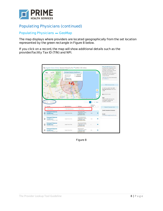

## Populating Physicians (continued)

#### Populating Physicians - GeoMap

The map displays where providers are located geographically from the set location represented by the green rectangle in Figure 8 below.

If you click on a record, the map will show additional details such as the provider/facility Tax ID (TIN) and NPI.



*Figure 8*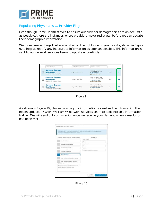

#### Populating Physicians - Provider Flags

Even though Prime Health strives to ensure our provider demographics are as accurate as possible, there are instances where providers move, retire, etc. before we can update their demographic information.

We have created flags that are located on the right side of your results, shown in Figure 9, to help us rectify any inaccurate information as soon as possible. This information is sent to our network services team to update accordingly.

|   | Filter Provider                                                       | Filter Specialization | Filter Address                                                                       |                     |  |
|---|-----------------------------------------------------------------------|-----------------------|--------------------------------------------------------------------------------------|---------------------|--|
| 圓 | <b>Carespot Express</b><br><b>Healthcare</b><br>CARE SPOT URGENT CARE | urgent care crinic    | 1021 Cesery Blvd<br>Jacksonville FL 32211<br>L (904)743-2466<br>(904)743-4070        | 353                 |  |
| ⊞ | <b>Carespot Express</b><br><b>Healthcare</b><br>CARE SPOT URGENT CARE | Urgent Care Clinic    | 4498 Hondricks Ava<br>Jacksonville FL 32207<br>L (904)854-1730<br>□ (904)402-8000    | <b>STORY</b><br>399 |  |
| 圓 | <b>Carespot Express</b><br><b>Healthcare</b><br>CARE SPOT URGENT CARE | Urgent Care Clinic    | 5964 Normandy Blvd<br>Jocksonvilla FL 32205<br>$C(904)378 - 0121$<br>□ (904)378-0122 | t,                  |  |

*Figure 9*

As shown in Figure 10, please provide your information, as well as the information that needs updated, in order for Prime's network services team to look into this information further. We will send out confirmation once we receive your flag and when a resolution has been met.

| Is the provider's information incomedit Plates art up linew what is world and our<br>provider updatus turns will work to connect it. |                                    |
|--------------------------------------------------------------------------------------------------------------------------------------|------------------------------------|
| Please select one or moni journs!                                                                                                    | Your Info                          |
| President's Herná                                                                                                                    | First Hams<br>s                    |
| Presider's docup week                                                                                                                | Lost Worms                         |
| Presidents Specialty                                                                                                                 | $\alpha$<br>110413                 |
| President's Address.                                                                                                                 | CO@phmetia@ff@wheter.com<br>n gels |
| Please Munder                                                                                                                        |                                    |
| Does Not Accept Worksts! Comp.                                                                                                       |                                    |
| Doon mirt Accapt row Follants.                                                                                                       |                                    |
| Other lease:                                                                                                                         |                                    |
| The provider's phone turnlue a systematic.<br>pieces update in USM 1830-8880.                                                        |                                    |

*Figure 10*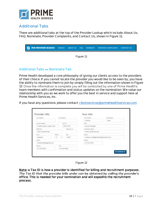

## Additional Tabs

There are additional tabs at the top of the Provider Lookup which include: About Us, FAQ, Nominate, Provider Complaints, and Contact Us, shown in Figure 11.

| <b>THE PHS PROVIDER SEARCH</b> SEARCH ABOUT US FAQ NOMINATE PROVIDER COMPLAINTS CONTACT US |  |           |  |  |
|--------------------------------------------------------------------------------------------|--|-----------|--|--|
|                                                                                            |  | Figure 11 |  |  |

#### Additional Tabs - Nominate Tab

Prime Health developed a core philosophy of giving our clients access to the providers of their choice. If you cannot locate the provider you would like to be seen by, you have the ability to nominate them to join by simply filling out the information shown in Figure 12. Once the information is complete you will be contacted by one of Prime Health's team members with confirmation and status updates on the nomination. We value our relationship with you as we work to offer you the best in service and support here at Prime Health Services, Inc.

If you have any questions, please contact [clientservices@primehealthservices.com](mailto:clientservices@primehealthservices.com)

| Provider Info:                  |                                                                  |                                   | Your Info:                             |                               |
|---------------------------------|------------------------------------------------------------------|-----------------------------------|----------------------------------------|-------------------------------|
| First Name<br><b>CONTRACTOR</b> | <b>COLORED AT</b><br>Last Name<br><b>The Company and Company</b> |                                   | First Name                             | <b>CONSUMING</b><br>Last Name |
|                                 |                                                                  |                                   | Courtney                               | Leath                         |
| Facility Name                   |                                                                  | Tax it)<br>of excellent time con- | Title                                  |                               |
| Frubvile Walk-In Urgent Care    |                                                                  | 208741703                         | Account Manager                        |                               |
| <b>Address</b>                  |                                                                  | Addition 2                        | Company Name                           |                               |
| 3420 Frunville Road             |                                                                  |                                   | PRime Health Services                  |                               |
| City:                           | State                                                            | Zip.                              | Empil                                  |                               |
| Sarasuta                        | FL.<br>٠                                                         | 34237                             | Courtney Leath@primehealthservices.com |                               |
| Email                           |                                                                  |                                   | Phose:                                 |                               |
| fruthritewalkin@gmail.com       |                                                                  |                                   | 615-970-7905                           |                               |
| Phone                           | Fax<br>---                                                       |                                   |                                        |                               |
| 941-954-8686                    |                                                                  | 941-954-996E                      |                                        |                               |

*Figure 12*

*Note: a Tax ID is how a provider is identified for billing and recruitment purposes.*  The Tax ID that the provider bills under can be obtained by calling the provider's *office. This is needed for your nomination and will expedite the recruitment process.*